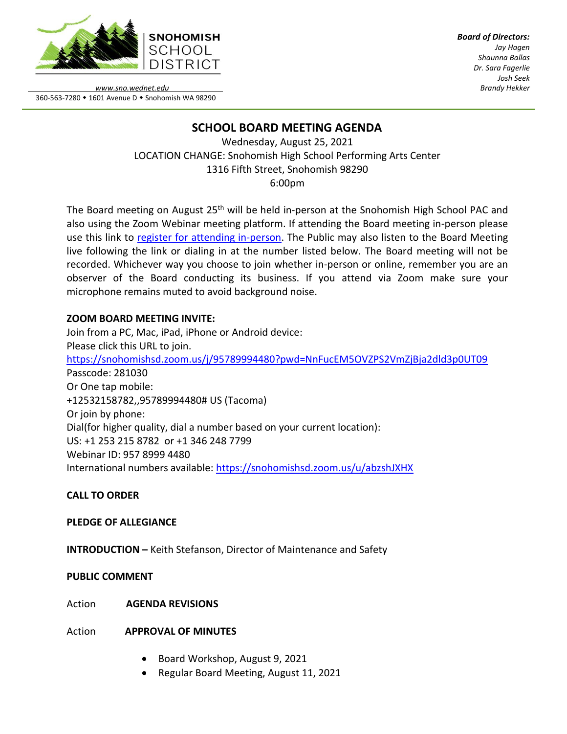

*Board of Directors: Jay Hagen Shaunna Ballas Dr. Sara Fagerlie Josh Seek Brandy Hekker*

*www.sno.wednet.edu* 360-563-7280 • 1601 Avenue D • Snohomish WA 98290

# **SCHOOL BOARD MEETING AGENDA**

Wednesday, August 25, 2021 LOCATION CHANGE: Snohomish High School Performing Arts Center 1316 Fifth Street, Snohomish 98290 6:00pm

The Board meeting on August 25<sup>th</sup> will be held in-person at the Snohomish High School PAC and also using the Zoom Webinar meeting platform. If attending the Board meeting in-person please use this link to [register for attending in-person.](https://www.sno.wednet.edu/site/Default.aspx?PageID=5004) The Public may also listen to the Board Meeting live following the link or dialing in at the number listed below. The Board meeting will not be recorded. Whichever way you choose to join whether in-person or online, remember you are an observer of the Board conducting its business. If you attend via Zoom make sure your microphone remains muted to avoid background noise.

# **ZOOM BOARD MEETING INVITE:**

Join from a PC, Mac, iPad, iPhone or Android device: Please click this URL to join. <https://snohomishsd.zoom.us/j/95789994480?pwd=NnFucEM5OVZPS2VmZjBja2dld3p0UT09> Passcode: 281030 Or One tap mobile: +12532158782,,95789994480# US (Tacoma) Or join by phone: Dial(for higher quality, dial a number based on your current location): US: +1 253 215 8782 or +1 346 248 7799 Webinar ID: 957 8999 4480 International numbers available:<https://snohomishsd.zoom.us/u/abzshJXHX>

# **CALL TO ORDER**

# **PLEDGE OF ALLEGIANCE**

**INTRODUCTION –** Keith Stefanson, Director of Maintenance and Safety

# **PUBLIC COMMENT**

Action **AGENDA REVISIONS**

Action **APPROVAL OF MINUTES**

- Board Workshop, August 9, 2021
- Regular Board Meeting, August 11, 2021